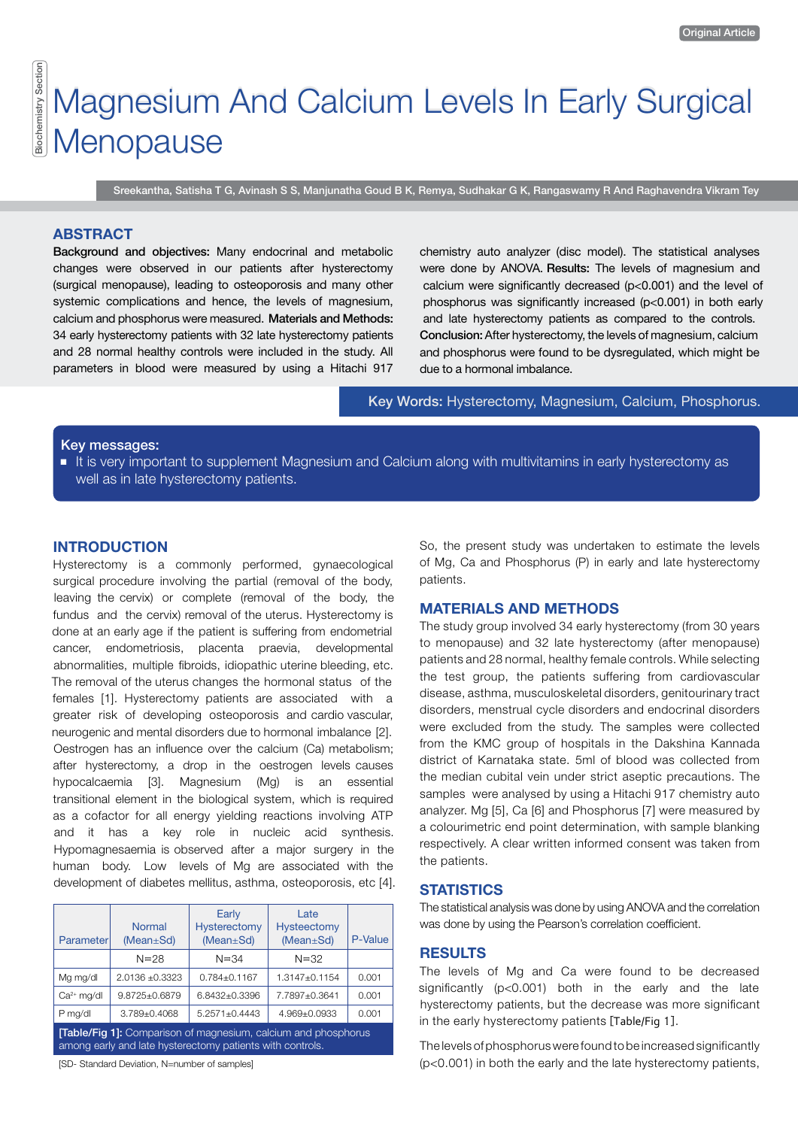# iochemistry Section Biochemistry Section Magnesium And Calcium Levels In Early Surgical Menopause

Sreekantha, Satisha T G, Avinash S S, Manjunatha Goud B K, Remya, Sudhakar G K, Rangaswamy R And Raghavendra Vikram Tey

# **ABStrAct**

Background and objectives: Many endocrinal and metabolic changes were observed in our patients after hysterectomy (surgical menopause), leading to osteoporosis and many other systemic complications and hence, the levels of magnesium, calcium and phosphorus were measured. Materials and Methods: 34 early hysterectomy patients with 32 late hysterectomy patients and 28 normal healthy controls were included in the study. All parameters in blood were measured by using a Hitachi 917 chemistry auto analyzer (disc model). The statistical analyses were done by ANOVA. Results: The levels of magnesium and calcium were significantly decreased (p<0.001) and the level of phosphorus was significantly increased (p<0.001) in both early and late hysterectomy patients as compared to the controls. Conclusion: After hysterectomy, the levels of magnesium, calcium and phosphorus were found to be dysregulated, which might be due to a hormonal imbalance.

Key Words: Hysterectomy, Magnesium, Calcium, Phosphorus.

### Key messages:

■ It is very important to supplement Magnesium and Calcium along with multivitamins in early hysterectomy as well as in late hysterectomy patients.

Hysterectomy is a commonly performed, gynaecological surgical procedure involving the partial (removal of the body, leaving the cervix) or complete (removal of the body, the fundus and the cervix) removal of the uterus. Hysterectomy is done at an early age if the patient is suffering from endometrial cancer, endometriosis, placenta praevia, developmental abnormalities, multiple fibroids, idiopathic uterine bleeding, etc. The removal of the uterus changes the hormonal status of the females [1]. Hysterectomy patients are associated with a greater risk of developing osteoporosis and cardio vascular, neurogenic and mental disorders due to hormonal imbalance [2]. Oestrogen has an influence over the calcium (Ca) metabolism; after hysterectomy, a drop in the oestrogen levels causes hypocalcaemia [3]. Magnesium (Mg) is an essential transitional element in the biological system, which is required as a cofactor for all energy yielding reactions involving ATP and it has a key role in nucleic acid synthesis. Hypomagnesaemia is observed after a major surgery in the human body. Low levels of Mg are associated with the development of diabetes mellitus, asthma, osteoporosis, etc [4].

| Parameter                                                                                                                          | Normal<br>$(Mean \pm Sd)$ | Early<br>Hysterectomy<br>$(Mean \pm Sd)$ | Late<br>Hysteectomy<br>$(Mean \pm Sd)$ | P-Value |
|------------------------------------------------------------------------------------------------------------------------------------|---------------------------|------------------------------------------|----------------------------------------|---------|
|                                                                                                                                    | $N = 28$                  | $N = 34$                                 | $N = 32$                               |         |
| Mg mg/dl                                                                                                                           | $2.0136 + 0.3323$         | $0.784 \pm 0.1167$                       | 1.3147±0.1154                          | 0.001   |
| $Ca2+$ mg/dl                                                                                                                       | 9.8725+0.6879             | 6.8432+0.3396                            | 7.7897±0.3641                          | 0.001   |
| P mg/dl                                                                                                                            | 3.789±0.4068              | $5.2571 \pm 0.4443$                      | 4.969±0.0933                           | 0.001   |
| <b>[Table/Fig 1]:</b> Comparison of magnesium, calcium and phosphorus<br>among early and late hysterectomy patients with controls. |                           |                                          |                                        |         |

[SD- Standard Deviation, N=number of samples]

**INTRODUCTION** So, the present study was undertaken to estimate the levels of Mg, Ca and Phosphorus (P) in early and late hysterectomy patients.

# **MAtErIALS And MEtHodS**

The study group involved 34 early hysterectomy (from 30 years to menopause) and 32 late hysterectomy (after menopause) patients and 28 normal, healthy female controls. While selecting the test group, the patients suffering from cardiovascular disease, asthma, musculoskeletal disorders, genitourinary tract disorders, menstrual cycle disorders and endocrinal disorders were excluded from the study. The samples were collected from the KMC group of hospitals in the Dakshina Kannada district of Karnataka state. 5ml of blood was collected from the median cubital vein under strict aseptic precautions. The samples were analysed by using a Hitachi 917 chemistry auto analyzer. Mg [5], Ca [6] and Phosphorus [7] were measured by a colourimetric end point determination, with sample blanking respectively. A clear written informed consent was taken from the patients.

#### **STATISTICS**

The statistical analysis was done by using ANOVA and the correlation was done by using the Pearson's correlation coefficient.

### **RESULTS**

The levels of Mg and Ca were found to be decreased significantly (p<0.001) both in the early and the late hysterectomy patients, but the decrease was more significant in the early hysterectomy patients [Table/Fig 1].

The levels of phosphorus were found to be increased significantly (p<0.001) in both the early and the late hysterectomy patients,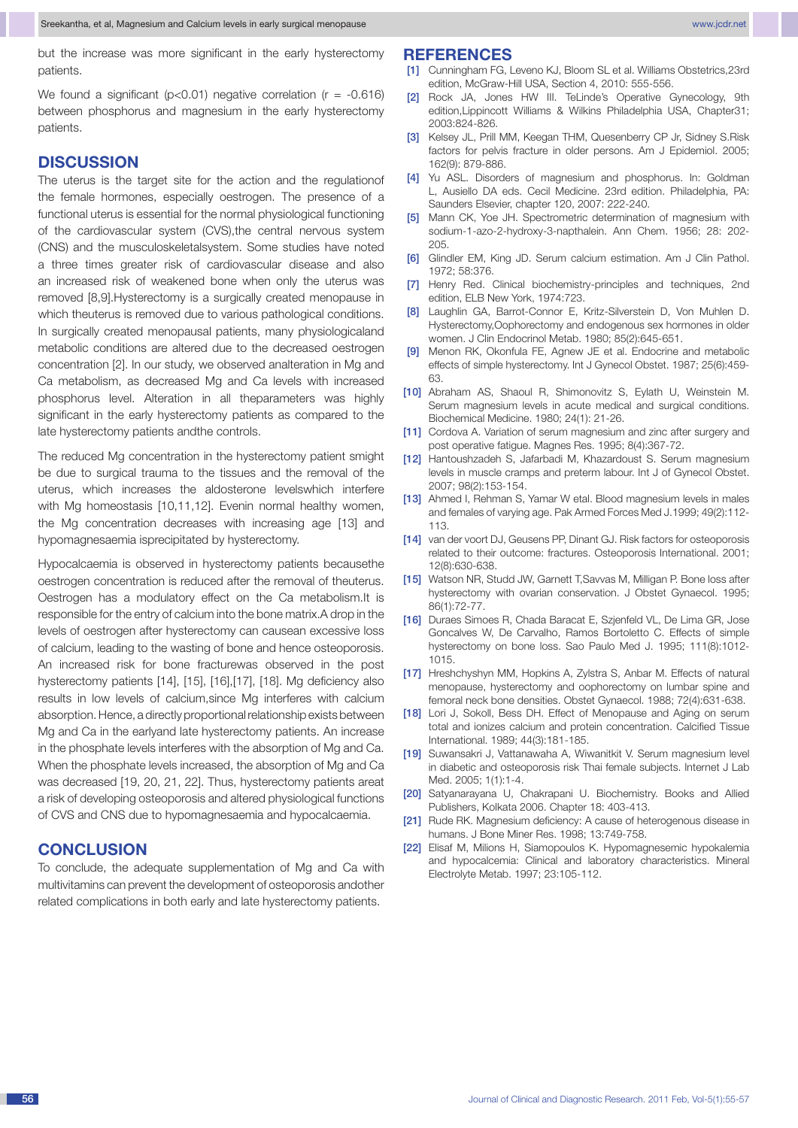but the increase was more significant in the early hysterectomy patients.

We found a significant ( $p$ <0.01) negative correlation ( $r = -0.616$ ) between phosphorus and magnesium in the early hysterectomy patients.

# **Discussion**

The uterus is the target site for the action and the regulationof the female hormones, especially oestrogen. The presence of a functional uterus is essential for the normal physiological functioning of the cardiovascular system (CVS), the central nervous system (CNS) and the musculoskeletalsystem. Some studies have noted a three times greater risk of cardiovascular disease and also an increased risk of weakened bone when only the uterus was removed [8,9].Hysterectomy is a surgically created menopause in which theuterus is removed due to various pathological conditions. In surgically created menopausal patients, many physiologicaland metabolic conditions are altered due to the decreased oestrogen concentration [2]. In our study, we observed analteration in Mg and Ca metabolism, as decreased Mg and Ca levels with increased phosphorus level. Alteration in all theparameters was highly significant in the early hysterectomy patients as compared to the late hysterectomy patients andthe controls.

The reduced Mg concentration in the hysterectomy patient smight be due to surgical trauma to the tissues and the removal of the uterus, which increases the aldosterone levelswhich interfere with Mg homeostasis [10,11,12]. Evenin normal healthy women, the Mg concentration decreases with increasing age [13] and hypomagnesaemia isprecipitated by hysterectomy.

Hypocalcaemia is observed in hysterectomy patients becausethe oestrogen concentration is reduced after the removal of theuterus. Oestrogen has a modulatory effect on the Ca metabolism.It is responsible for the entry of calcium into the bone matrix.A drop in the levels of oestrogen after hysterectomy can causean excessive loss of calcium, leading to the wasting of bone and hence osteoporosis. An increased risk for bone fracturewas observed in the post hysterectomy patients [14], [15], [16],[17], [18]. Mg deficiency also results in low levels of calcium,since Mg interferes with calcium absorption. Hence, a directly proportional relationship exists between Mg and Ca in the earlyand late hysterectomy patients. An increase in the phosphate levels interferes with the absorption of Mg and Ca. When the phosphate levels increased, the absorption of Mg and Ca was decreased [19, 20, 21, 22]. Thus, hysterectomy patients areat a risk of developing osteoporosis and altered physiological functions of CVS and CNS due to hypomagnesaemia and hypocalcaemia.

# **Conclusion**

To conclude, the adequate supplementation of Mg and Ca with multivitamins can prevent the development of osteoporosis andother related complications in both early and late hysterectomy patients.

- [1] Cunningham FG, Leveno KJ, Bloom SL et al. Williams Obstetrics, 23rd edition, McGraw-Hill USA, Section 4, 2010: 555-556.
- [2] Rock JA, Jones HW III. TeLinde's Operative Gynecology, 9th edition,Lippincott Williams & Wilkins Philadelphia USA, Chapter31; 2003:824-826.
- [3] Kelsey JL, Prill MM, Keegan THM, Quesenberry CP Jr, Sidney S.Risk factors for pelvis fracture in older persons. Am J Epidemiol. 2005; 162(9): 879-886.
- [4] Yu ASL. Disorders of magnesium and phosphorus. In: Goldman L, Ausiello DA eds. Cecil Medicine. 23rd edition. Philadelphia, PA: Saunders Elsevier, chapter 120, 2007: 222-240.
- [5] Mann CK, Yoe JH. Spectrometric determination of magnesium with sodium-1-azo-2-hydroxy-3-napthalein. Ann Chem. 1956; 28: 202- 205.
- [6] Glindler EM, King JD. Serum calcium estimation. Am J Clin Pathol. 1972; 58:376.
- [7] Henry Red. Clinical biochemistry-principles and techniques, 2nd edition, ELB New York, 1974:723.
- [8] Laughlin GA, Barrot-Connor E, Kritz-Silverstein D, Von Muhlen D. Hysterectomy,Oophorectomy and endogenous sex hormones in older women. J Clin Endocrinol Metab. 1980; 85(2):645-651.
- [9] Menon RK, Okonfula FE, Agnew JE et al. Endocrine and metabolic effects of simple hysterectomy. Int J Gynecol Obstet. 1987; 25(6):459- 63.
- [10] Abraham AS, Shaoul R, Shimonovitz S, Eylath U, Weinstein M. Serum magnesium levels in acute medical and surgical conditions. Biochemical Medicine. 1980; 24(1): 21-26.
- [11] Cordova A. Variation of serum magnesium and zinc after surgery and post operative fatigue. Magnes Res. 1995; 8(4):367-72.
- [12] Hantoushzadeh S, Jafarbadi M, Khazardoust S. Serum magnesium levels in muscle cramps and preterm labour. Int J of Gynecol Obstet. 2007; 98(2):153-154.
- [13] Ahmed I, Rehman S, Yamar W etal. Blood magnesium levels in males and females of varying age. Pak Armed Forces Med J.1999; 49(2):112- 113.
- [14] van der voort DJ, Geusens PP, Dinant GJ. Risk factors for osteoporosis related to their outcome: fractures. Osteoporosis International. 2001; 12(8):630-638.
- [15] Watson NR, Studd JW, Garnett T,Savvas M, Milligan P. Bone loss after hysterectomy with ovarian conservation. J Obstet Gynaecol. 1995; 86(1):72-77.
- [16] Duraes Simoes R, Chada Baracat E, Szjenfeld VL, De Lima GR, Jose Goncalves W, De Carvalho, Ramos Bortoletto C. Effects of simple hysterectomy on bone loss. Sao Paulo Med J. 1995; 111(8):1012- 1015.
- [17] Hreshchyshyn MM, Hopkins A, Zylstra S, Anbar M. Effects of natural menopause, hysterectomy and oophorectomy on lumbar spine and femoral neck bone densities. Obstet Gynaecol. 1988; 72(4):631-638.
- [18] Lori J, Sokoll, Bess DH. Effect of Menopause and Aging on serum total and ionizes calcium and protein concentration. Calcified Tissue International. 1989; 44(3):181-185.
- [19] Suwansakri J, Vattanawaha A, Wiwanitkit V. Serum magnesium level in diabetic and osteoporosis risk Thai female subjects. Internet J Lab Med. 2005; 1(1):1-4.
- [20] Satyanarayana U, Chakrapani U. Biochemistry. Books and Allied Publishers, Kolkata 2006. Chapter 18: 403-413.
- [21] Rude RK. Magnesium deficiency: A cause of heterogenous disease in humans. J Bone Miner Res. 1998; 13:749-758.
- [22] Elisaf M, Milions H, Siamopoulos K. Hypomagnesemic hypokalemia and hypocalcemia: Clinical and laboratory characteristics. Mineral Electrolyte Metab. 1997; 23:105-112.